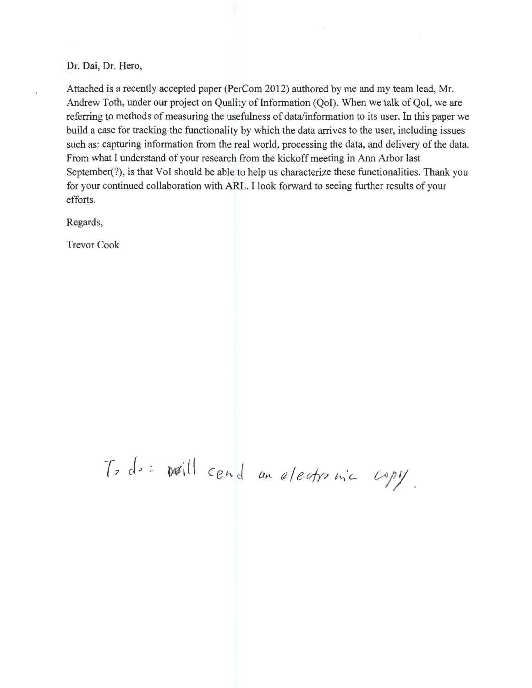Dr. Dai, Dr. Hero,

 $\overline{1}$ 

Attached is a recently accepted paper (PerCom 2012) authored by me and my team lead, Mr. Andrew Toth, under our project on Quality of Information (QoI). When we talk of QoI, we are referring to methods of measuring the usefulness of data/information to its user. In this paper we build a case for tracking the functionality by which the data arrives to the user, including issues such as: capturing information from the real world, processing the data, and delivery of the data. From what I understand of your research from the kickoff meeting in Ann Arbor last September(?), is that Vol should be able to help us characterize these functionalities. Thank you for your continued collaboration with ARL. I look forward to seeing further results of your efforts.

Regards,

Trevor Cook

*T*, d. poill cend an electronic copil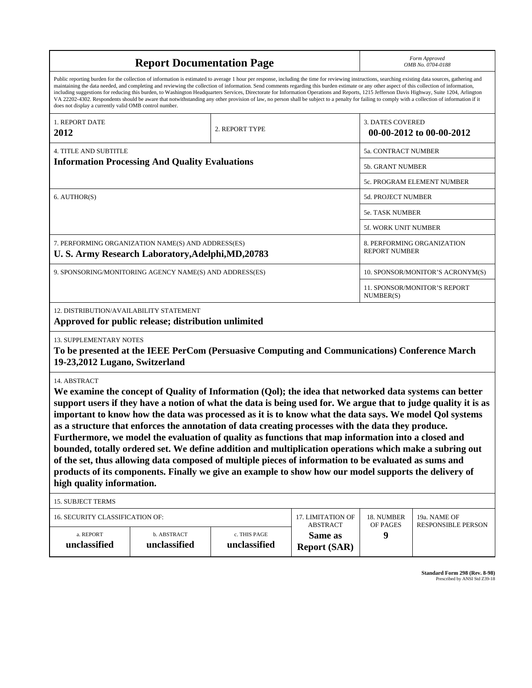| <b>Report Documentation Page</b>                                                                                                                                                                                                                                                                                                                                                                                                                                                                                                                                                                                                                                                                                                                                                                                                                                                                                            |                             |                              |                                                   | Form Approved<br>OMB No. 0704-0188                 |                           |  |
|-----------------------------------------------------------------------------------------------------------------------------------------------------------------------------------------------------------------------------------------------------------------------------------------------------------------------------------------------------------------------------------------------------------------------------------------------------------------------------------------------------------------------------------------------------------------------------------------------------------------------------------------------------------------------------------------------------------------------------------------------------------------------------------------------------------------------------------------------------------------------------------------------------------------------------|-----------------------------|------------------------------|---------------------------------------------------|----------------------------------------------------|---------------------------|--|
| Public reporting burden for the collection of information is estimated to average 1 hour per response, including the time for reviewing instructions, searching existing data sources, gathering and<br>maintaining the data needed, and completing and reviewing the collection of information. Send comments regarding this burden estimate or any other aspect of this collection of information,<br>including suggestions for reducing this burden, to Washington Headquarters Services, Directorate for Information Operations and Reports, 1215 Jefferson Davis Highway, Suite 1204, Arlington<br>VA 22202-4302. Respondents should be aware that notwithstanding any other provision of law, no person shall be subject to a penalty for failing to comply with a collection of information if it<br>does not display a currently valid OMB control number.                                                          |                             |                              |                                                   |                                                    |                           |  |
| 1. REPORT DATE<br>2012                                                                                                                                                                                                                                                                                                                                                                                                                                                                                                                                                                                                                                                                                                                                                                                                                                                                                                      |                             | 2. REPORT TYPE               |                                                   | <b>3. DATES COVERED</b>                            | 00-00-2012 to 00-00-2012  |  |
| <b>4. TITLE AND SUBTITLE</b>                                                                                                                                                                                                                                                                                                                                                                                                                                                                                                                                                                                                                                                                                                                                                                                                                                                                                                |                             |                              |                                                   | 5a. CONTRACT NUMBER                                |                           |  |
| <b>Information Processing And Quality Evaluations</b>                                                                                                                                                                                                                                                                                                                                                                                                                                                                                                                                                                                                                                                                                                                                                                                                                                                                       |                             |                              |                                                   | 5b. GRANT NUMBER                                   |                           |  |
|                                                                                                                                                                                                                                                                                                                                                                                                                                                                                                                                                                                                                                                                                                                                                                                                                                                                                                                             |                             |                              |                                                   | 5c. PROGRAM ELEMENT NUMBER                         |                           |  |
| 6. AUTHOR(S)                                                                                                                                                                                                                                                                                                                                                                                                                                                                                                                                                                                                                                                                                                                                                                                                                                                                                                                |                             |                              |                                                   | 5d. PROJECT NUMBER                                 |                           |  |
|                                                                                                                                                                                                                                                                                                                                                                                                                                                                                                                                                                                                                                                                                                                                                                                                                                                                                                                             |                             |                              |                                                   | <b>5e. TASK NUMBER</b>                             |                           |  |
|                                                                                                                                                                                                                                                                                                                                                                                                                                                                                                                                                                                                                                                                                                                                                                                                                                                                                                                             |                             |                              |                                                   | <b>5f. WORK UNIT NUMBER</b>                        |                           |  |
| 7. PERFORMING ORGANIZATION NAME(S) AND ADDRESS(ES)<br>U.S. Army Research Laboratory, Adelphi, MD, 20783                                                                                                                                                                                                                                                                                                                                                                                                                                                                                                                                                                                                                                                                                                                                                                                                                     |                             |                              |                                                   | 8. PERFORMING ORGANIZATION<br><b>REPORT NUMBER</b> |                           |  |
| 9. SPONSORING/MONITORING AGENCY NAME(S) AND ADDRESS(ES)                                                                                                                                                                                                                                                                                                                                                                                                                                                                                                                                                                                                                                                                                                                                                                                                                                                                     |                             |                              |                                                   | 10. SPONSOR/MONITOR'S ACRONYM(S)                   |                           |  |
|                                                                                                                                                                                                                                                                                                                                                                                                                                                                                                                                                                                                                                                                                                                                                                                                                                                                                                                             |                             |                              |                                                   | 11. SPONSOR/MONITOR'S REPORT<br>NUMBER(S)          |                           |  |
| 12. DISTRIBUTION/AVAILABILITY STATEMENT<br>Approved for public release; distribution unlimited                                                                                                                                                                                                                                                                                                                                                                                                                                                                                                                                                                                                                                                                                                                                                                                                                              |                             |                              |                                                   |                                                    |                           |  |
| <b>13. SUPPLEMENTARY NOTES</b><br>To be presented at the IEEE PerCom (Persuasive Computing and Communications) Conference March<br>19-23,2012 Lugano, Switzerland                                                                                                                                                                                                                                                                                                                                                                                                                                                                                                                                                                                                                                                                                                                                                           |                             |                              |                                                   |                                                    |                           |  |
| 14. ABSTRACT<br>We examine the concept of Quality of Information (Qol); the idea that networked data systems can better<br>support users if they have a notion of what the data is being used for. We argue that to judge quality it is as<br>important to know how the data was processed as it is to know what the data says. We model Qol systems<br>as a structure that enforces the annotation of data creating processes with the data they produce.<br>Furthermore, we model the evaluation of quality as functions that map information into a closed and<br>bounded, totally ordered set. We define addition and multiplication operations which make a subring out<br>of the set, thus allowing data composed of multiple pieces of information to be evaluated as sums and<br>products of its components. Finally we give an example to show how our model supports the delivery of<br>high quality information. |                             |                              |                                                   |                                                    |                           |  |
| <b>15. SUBJECT TERMS</b>                                                                                                                                                                                                                                                                                                                                                                                                                                                                                                                                                                                                                                                                                                                                                                                                                                                                                                    |                             |                              |                                                   |                                                    |                           |  |
| 16. SECURITY CLASSIFICATION OF:                                                                                                                                                                                                                                                                                                                                                                                                                                                                                                                                                                                                                                                                                                                                                                                                                                                                                             | 17. LIMITATION OF           | 18. NUMBER<br>OF PAGES       | 19a. NAME OF                                      |                                                    |                           |  |
| a. REPORT<br>unclassified                                                                                                                                                                                                                                                                                                                                                                                                                                                                                                                                                                                                                                                                                                                                                                                                                                                                                                   | b. ABSTRACT<br>unclassified | c. THIS PAGE<br>unclassified | <b>ABSTRACT</b><br>Same as<br><b>Report (SAR)</b> | 9                                                  | <b>RESPONSIBLE PERSON</b> |  |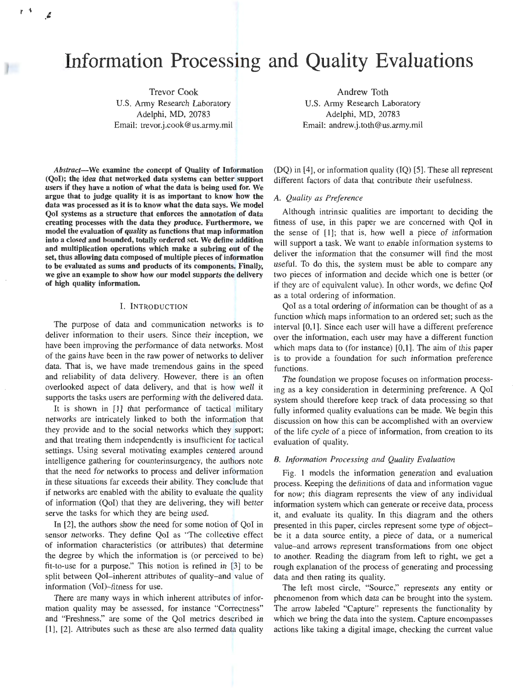# **Information Processing and Quality Evaluations**

Trevor Cook U.S. Army Research Laboratory Adelphi, MD, 20783 Email: trevor.j.cook@us.army.mil

Andrew Toth U.S. Army Research Laboratory Adelphi, MD, 20783 Email: andrew.j.toth@us.army.mil

*Abstract-*We examine the concept of Quality of Information (Qol); the idea that networked data systems can better support users if they have a notion of what the data is being used for. We argue that to judge quality it is as important to know how the data was processed as it is to know what the data says. We model Qol systems as a structure that enforces the annotation of data creating processes with the data they produce. Furthermore, we model the evaluation of quality as functions that map information into a closed and bounded, totally ordered set. We define addition and multiplication operations which make a subring out of the set, thus allowing data composed of multiple pieces of information to be evaluated as sums and products of its components. Finally, we give an example to show how our model supports the delivery of high quality information.

## I. INTRODUCTION

The purpose of data and communication networks is to deliver information to their users. Since their inception, we have been improving the performance of data networks. Most of the gains have been in the raw power of networks to deliver data. That is, we have made tremendous gains in the speed and reliability of data delivery. However, there is an often overlooked aspect of data delivery, and that is how well it supports the tasks users are performing with the delivered data.

It is shown in [1] that performance of tactical military networks are intricately linked to both the information that they provide and to the social networks which they support; and that treating them independently is insufficient for tactical settings. Using several motivating examples centered around intelligence gathering for counterinsurgency, the authors note that the need for networks to process and deliver information in these situations far exceeds their ability. They conclude that if networks are enabled with the ability to evaluate the quality of information (Qol) that they are delivering, they will better serve the tasks for which they are being used.

In [2], the authors show the need for some notion of Qol in sensor networks. They define Qol as "The collective effect of information characteristics (or attributes) that determine the degree by which the information is (or perceived to be) fit-lo-use for a purpose." This notion is refined in [3] to be split between QoI-inherent attributes of quality-and value of information (Vol)-fitness for use.

There are many ways in which inherent attributes of information quality may be assessed, for instance "Correctness" and "Freshness," are some of the Qol metrics described in [1], [2]. Attributes such as these are also termed data quality (DQ) in [4], or information quality (IQ) [5]. These all represent different factors of data that contribute their usefulness.

# *A. Quality as Preference*

Although intrinsic qualities are important to deciding the fitness of use, in this paper we are concerned with Qol in the sense of  $[1]$ ; that is, how well a piece of information will support a task. We want to enable information systems to deliver the information that the consumer will find the most useful. To do this, the system must be able to compare any two pieces of information and decide which one is better (or if they arc of equivalent value). In other words, we define Qol as a total ordering of information.

Qol as a total ordering of information can be thought of as a function which maps information to an ordered set; such as the interval [0,1]. Since each user will have a different preference over the information, each user may have a different function which maps data to (for instance) [0,1]. The aim of this paper is to provide a foundation for such information preference functions.

The foundation we propose focuses on information processing as a key consideration in determining preference. A Qol system should therefore keep track of data processing so that fully informed quality evaluations can be made. We begin this discussion on how this can be accomplished with an overview of the life cycle of a piece of information, from creation to its evaluation of quality.

#### *B. Information Processing and Quality Evaluation*

Fig. 1 models the information generation and evaluation process. Keeping the definitions of data and information vague for now; this diagram represents the view of any individual information system which can generate or receive data, process it, and evaluate its quality. In this diagram and the others presented in this paper, circles represent some type of objectbe it a data source entity, a piece of data, or a numerical value-and arrows represent transformations from one object to another. Reading the diagram from left to right, we get a rough explanation of the process of generating and processing data and then rating its quality.

The left most circle, "Source," represents any entity or phenomenon from which data can be brought into the system. The arrow labeled "Capture" represents the functionality by which we bring the data into the system. Capture encompasses actions like taking a digital image, checking the current value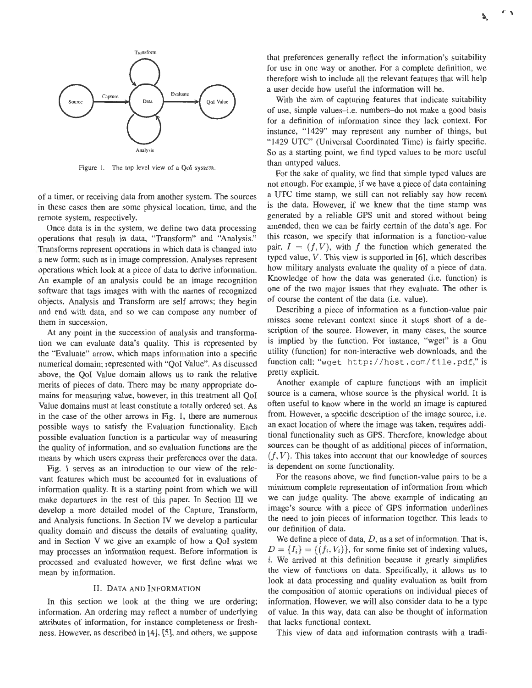

Figure I. The top level view of a Qol system.

of a timer, or receiving data from another system. The sources in these cases then are some physical location, time, and the remote system, respectively.

Once data is in the system, we define two data processing operations that result in data, "Transform" and "Analysis." Transforms represent operations in which data is changed into a new form; such as in image compression. Analyses represent operations which look at a piece of data to derive information. An example of an analysis could be an image recognition software that tags images with with the names of recognized objects. Analysis and Transform are self arrows; they begin and end with data, and so we can compose any number of them in succession.

At any point in the succession of analysis and transformation we can evaluate data's quality. This is represented by the "Evaluate" arrow, which maps information into a specific numerical domain; represented with "Qoi Value". As discussed above, the Qoi Value domain allows us to rank the relative merits of pieces of data. There may be many appropriate domains for measuring value, however, in this treatment all QoI Value domains must at least constitute a totally ordered set. As in the case of the other arrows in Fig. I, there are numerous possible ways to satisfy the Evaluation functionality. Each possible evaluation function is a particular way of measuring the quality of information, and so evaluation functions are the means by which users express their preferences over the data.

Fig. I serves as an introduction to our view of the relevant features which must be accounted for in evaluations of information quality. It is a starting point from which we will make departures in the rest of this paper. In Section III we develop a more detailed model of the Capture, Transform, and Analysis functions. In Section IV we develop a particular quality domain and discuss the details of evaluating quality, and in Section V we give an example of how a QoI system may processes an information request. Before information is processed and evaluated however, we first define what we mean by information.

#### II. DATA AND INFORMATION

In this section we look at the thing we are ordering; information. An ordering may reflect a number of underlying attributes of information, for instance completeness or freshness. However, as described in [4], [5], and others, we suppose that preferences generally reflect the information's suitability for use in one way or another. For a complete definition, we therefore wish to include all the relevant features that will help a user decide how useful the information will be.

~.

 $\epsilon$ 

With the aim of capturing features that indicate suitability of use, simple values-i.e. numbers-do not make a good basis for a definition of information since they lack context. For instance, "1429" may represent any number of things, but "1429 UTC" (Universal Coordinated Time) is fairly specific. So as a starting point, we find typed values to be more useful than untyped values.

For the sake of quality, we find that simple typed values are not enough. For example, if we have a piece of data containing a UTC time stamp, we still can not reliably say how recent is the data. However, if we knew that the time stamp was generated by a reliable GPS unit and stored without being amended, then we can be fairly certain of the data's age. For this reason, we specify that information is a function-value pair,  $I = (f, V)$ , with f the function which generated the typed value, *V.* This view is supported in [6], which describes how military analysts evaluate the quality of a piece of data. Knowledge of how the data was generated (i.e. function) is one of the two major issues that they evaluate. The other is of course the content of the data (i.e. value).

Describing a piece of information as a function-value pair misses some relevant context since it stops short of a description of the source. However, in many cases, the source is implied by the function. For instance, "wget" is a Gnu utility (function) for non-interactive web downloads, and the function call: "wget http: //host .com/file.pdf," is pretty explicit.

Another example of capture functions with an implicit source is a camera, whose source is the physical world. It is often useful to know where in the world an image is captured from. However, a specific description of the image source, i.e. an exact location of where the image was taken, requires additional functionality such as GPS. Therefore, knowledge about sources can be thought of as additional pieces of information,  $(f, V)$ . This takes into account that our knowledge of sources is dependent on some functionality.

For the reasons above, we find function-value pairs to be a minimum complete representation of information from which we can judge quality. The above example of indicating an image's source with a piece of GPS information underlines the need to join pieces of information together. This leads to our definition of data.

We define a piece of data,  $D$ , as a set of information. That is,  $D = \{I_i\} = \{(f_i, V_i)\}\$ , for some finite set of indexing values, i. We arrived at this definition because it greatly simplifies the view of functions on data. Specifically, it allows us to look at data processing and quality evaluation as built from the composition of atomic operations on individual pieces of information. However, we will also consider data to be a type of value. In this way, data can also be thought of information that lacks functional context.

This view of data and information contrasts with a tradi-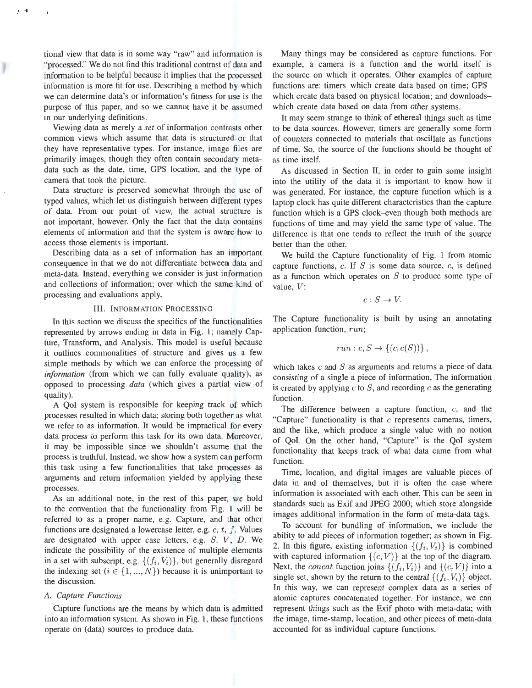tiona! view that data is in some way "raw" and information is "processed." We do not find this traditional contrast of data and information to be helpful because it implies that the processed information is more fit for use. Describing a method by which we can determine data's or information's fitness for use is the purpose of this paper, and so we cannot have it be assumed in our underlying definitions.

 $\ddot{\bullet}$ .

Viewing data as merely a *set* of information contrasts other common views which assume that data is structured or that they have representative types. For instance, image files are primarily images, though they often contain secondary metadata such as the date, time, GPS location, and the type of camera that took the picture.

Data structure is preserved somewhat through the use of typed values, which let us distinguish between different types of data. From our point of view, the actual structure is not important, however. Only the fact that the data contains elements of information and that the system is aware how to access those elements is important.

Describing data as a set of information has an important consequence in that we do not differentiate between data and meta-data. Instead, everything we consider is just information and collections of information; over which the same kind of processing and evaluations apply.

## III. INFORMATION PROCESSING

In this section we discuss the specifics of the functionalities represented by arrows ending in data in Fig. l; namely Capture, Transform, and Analysis. This model is useful because it outlines commonalities of structure and gives us a few simple methods by which we can enforce the processing of *information* (from which we can fully evaluate quality), as opposed to processing *data* (which gives a partial view of quality).

A Qol system is responsible for keeping track of which processes resulted in which data; storing both together as what we refer to as information. It would be impractical for every data process to perform this task for its own data. Moreover, it may be impossible since we shouldn't assume that the process is truthful. Instead, we show how a system can perform this task using a few functionalities that take processes as arguments and return information yielded by applying these processes.

As an additional note, in the rest of this paper, we hold to the convention that the functionality from Fig. l will be referred to as a proper name, e.g. Capture, and that other functions are designated a lowercase letter, e.g. c, *t,* f. Values are designated with upper case letters, e.g. *S, V, D.* We indicate the possibility of the existence of multiple elements in a set with subscript, e.g.  $\{(f_i, V_i)\}\$ , but generally disregard the indexing set  $(i \in \{1, ..., N\})$  because it is unimportant to the discussion.

## *A. Capture Functions*

Capture functions are the means by which data is admitted into an information system. As shown in Fig. l, these functions operate on (data) sources to produce data.

Many things may be considered as capture functions. For example, a camera is a function and the world itself is the source on which it operates. Other examples of capture functions are: timers-which create data based on time; GPSwhich create data based on physical location; and downloadswhich create data based on data from other systems.

It may seem strange to think of ethereal things such as time to be data sources. However, timers are generally some form of counters connected to materials that oscillate as functions of time. So, the source of the functions should be thought of as time itself.

As discussed in Section II, in order to gain some insight into the utility of the data it is important to know how it was generated. For instance, the capture function which is a laptop clock has quite different characteristics than the capture function which is a GPS clock-even though both methods are functions of time and may yield the same type of value. The difference is that one tends to reflect the truth of the source better than the other.

We build the Capture functionality of Fig. 1 from atomic capture functions, c. If *S* is some data source, c, is defined as a function which operates on *S* to produce some type of value, V:

$$
c:S\rightarrow V.
$$

The Capture functionality is built by using an annotating application function, *run;* 

$$
run : c, S \rightarrow \{(c, c(S))\},\,
$$

which takes c and S as arguments and returns a piece of data consisting of a single a piece of information. The information is created by applying  $c$  to  $S$ , and recording  $c$  as the generating function.

The difference between a capture function, c, and the "Capture" functionality is that  $c$  represents cameras, timers, and the like, which produce a single value with no notion of Qol. On the other hand, "Capture" is the Qol system functionality that keeps track of what data came from what function.

Time, location, and digital images are valuable pieces of data in and of themselves, but it is often the case where information is associated with each other. This can be seen in standards such as Exif and JPEG 2000; which store alongside images additional information in the form of meta-data tags.

To account for bundling of information, we include the ability to add pieces of information together; as shown in Fig. 2. In this figure, existing information  $\{(f_i, V_i)\}\)$  is combined with captured information  $\{(c, V)\}\$ at the top of the diagram. Next, the *concat* function joins  $\{(f_i, V_i)\}\$  and  $\{(c, V)\}\$  into a single set, shown by the return to the central  $\{(f_i, V_i)\}\$ object. In this way, we can represent complex data as a series of atomic captures concatenated together. For instance, we can represent things such as the Exif photo with meta-data; with the image, time-stamp, location, and other pieces of meta-data accounted for as individual capture functions.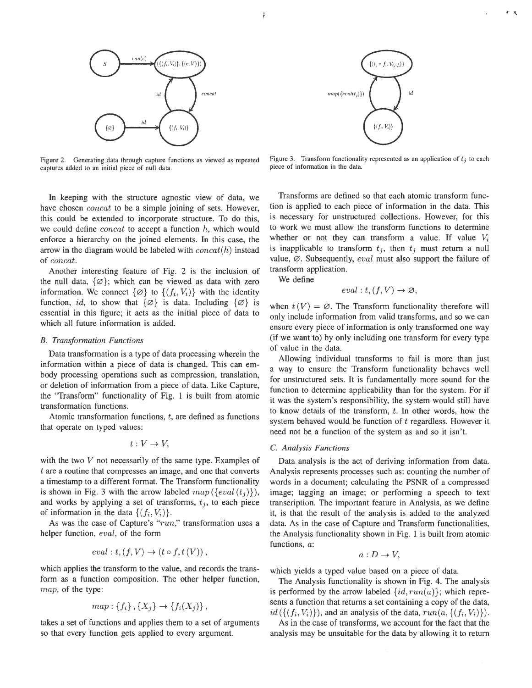

Figure 2. Generating data through capture functions as viewed as repeated captures added to an initial piece of null data.

In keeping with the structure agnostic view of data, we have chosen *concat* to be a simple joining of sets. However, this could be extended to incorporate structure. To do this, we could define *concat* to accept a function *h,* which would enforce a hierarchy on the joined elements. In this case, the arrow in the diagram would be labeled with *concat(h)* instead of *concat.* 

Another interesting feature of Fig. 2 is the inclusion of the null data,  $\{\emptyset\}$ ; which can be viewed as data with zero information. We connect  $\{\emptyset\}$  to  $\{(f_i, V_i)\}$  with the identity function, *id*, to show that  $\{\emptyset\}$  is data. Including  $\{\emptyset\}$  is essential in this figure; it acts as the initial piece of data to which all future information is added.

## *B. Transformation Functions*

Data transformation is a type of data processing wherein the information within a piece of data is changed. This can embody processing operations such as compression, translation, or deletion of information from a piece of data. Like Capture, the "Transform" functionality of Fig. 1 is built from atomic transformation functions.

Atomic transformation functions, *t,* are defined as functions that operate on typed values:

$$
t:V\rightarrow V,
$$

with the two *V* not necessarily of the same type. Examples of *t* are a routine that compresses an image, and one that converts a timestamp to a different format. The Transform functionality is shown in Fig. 3 with the arrow labeled  $map({\{eval(t_i)\}})$ , and works by applying a set of transforms,  $t_j$ , to each piece of information in the data  $\{(f_i, V_i)\}.$ 

As was the case of Capture's *"run,"* transformation uses a helper function, *eval,* of the form

$$
eval: t, (f, V) \rightarrow (t \circ f, t(V)),
$$

which applies the transform to the value, and records the transform as a function composition. The other helper function, *map,* of the type:

$$
map: \{f_i\}, \{X_j\} \to \{f_i(X_j)\}\,
$$

takes a set of functions and applies them to a set of arguments so that every function gets applied to every argument.



r- ..

Figure 3. Transform functionality represented as an application of  $t_j$  to each piece of information in the data.

Transforms are defined so that each atomic transform function is applied to each piece of information in the data. This is necessary for unstructured collections. However, for this to work we must allow the transform functions to determine whether or not they can transform a value. If value *Vi*  is inapplicable to transform  $t_j$ , then  $t_j$  must return a null value,  $\emptyset$ . Subsequently, *eval* must also support the failure of transform application.

We define

$$
eval: t, (f, V) \to \varnothing,
$$

when  $t(V) = \emptyset$ . The Transform functionality therefore will only include information from valid transforms, and so we can ensure every piece of information is only transformed one way (if we want to) by only including one transform for every type of value in the data.

Allowing individual transforms to fail is more than just a way to ensure the Transform functionality behaves well for unstructured sets. It is fundamentally more sound for the function to determine applicability than for the system. For if it was the system's responsibility, the system would still have to know details of the transform, *t.* In other words, how the system behaved would be function of  $t$  regardless. However it need not be a function of the system as and so it isn't.

# C. *Analysis Functions*

Data analysis is the act of deriving information from data. Analysis represents processes such as: counting the number of words in a document; calculating the PSNR of a compressed image; tagging an image; or performing a speech to text transcription. The important feature in Analysis, as we define it, is that the result of the analysis is added to the analyzed data. As in the case of Capture and Transform functionalities, the Analysis functionality shown in Fig. 1 is built from atomic functions, a:

$$
a: D \to V,
$$

which yields a typed value based on a piece of data.

The Analysis functionality is shown in Fig. 4. The analysis is performed by the arrow labeled { *id, run( a)};* which represents a function that returns a set containing a copy of the data,  $id \left( \{ (f_i, V_i) \} \right)$ , and an analysis of the data,  $run(a, \{ (f_i, V_i) \})$ .

As in the case of transforms, we account for the fact that the analysis may be unsuitable for the data by allowing it to return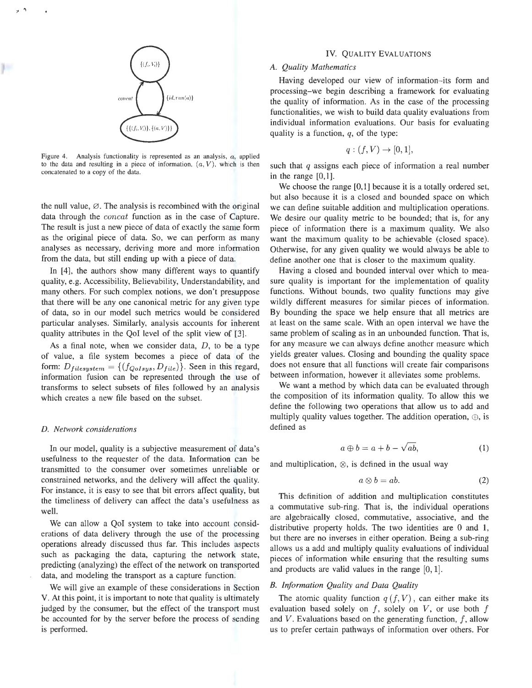

'I

Figure 4. Analysis functionality is represented as an analysis, *a,* applied to the data and resulting in a piece of information,  $(a, V)$ , which is then concatenated to a copy of the data.

the null value,  $\varnothing$ . The analysis is recombined with the original data through the *concat* function as in the case of Capture. The result is just a new piece of data of exactly the same form as the original piece of data. So, we can perform as many analyses as necessary, deriving more and more information from the data, but still ending up with a piece of data.

In [4], the authors show many different ways to quantify quality, e.g. Accessibility, Believability, Understandability, and many others. For such complex notions, we don't presuppose that there will be any one canonical metric for any given type of data, so in our model such metrics would be considered particular analyses. Similarly, analysis accounts for inherent quality attributes in the QoI level of the split view of [3].

As a final note, when we consider data, *D,* to be a type of value, a file system becomes a piece of data of the form:  $D_{filesystem} = \{(f_{QoIsys}, D_{file})\}$ . Seen in this regard, information fusion can be represented through the use of transforms to select subsets of files followed by an analysis which creates a new file based on the subset.

#### *D. Network considerations*

In our model, quality is a subjective measurement of data's usefulness to the requester of the data. Information can be transmitted to the consumer over sometimes unreliable or constrained networks, and the delivery will affect the quality. For instance, it is easy to see that bit errors affect quality, but the timeliness of delivery can affect the data's usefulness as well.

We can allow a QoI system to take into account considerations of data delivery through the use of the processing operations already discussed thus far. This includes aspects such as packaging the data, capturing the network state, predicting (analyzing) the effect of the network on transported data, and modeling the transport as a capture function.

We will give an example of these considerations in Section V. At this point, it is important to note that quality is ultimately judged by the consumer, but the effect of the transport must be accounted for by the server before the process of sending is performed.

#### IV. QUALITY EVALUATIONS

# A. *Quality Mathematics*

Having developed our view of information-its form and processing-we begin describing a framework for evaluating the quality of information. As in the case of the processing functionalities, we wish to build data quality evaluations from individual information evaluations. Our basis for evaluating quality is a function, *q,* of the type:

$$
q:(f,V)\to[0,1],
$$

such that *q* assigns each piece of information a real number in the range [0,1].

We choose the range [0,1] because it is a totally ordered set, but also because it is a closed and bounded space on which we can define suitable addition and multiplication operations. We desire our quality metric to be bounded; that is, for any piece of information there is a maximum quality. We also want the maximum quality to be achievable (closed space). Otherwise, for any given quality we would always be able to define another one that is closer to the maximum quality.

Having a closed and bounded interval over which to measure quality is important for the implementation of quality functions. Without bounds, two quality functions may give wildly different measures for similar pieces of information. By bounding the space we help ensure that all metrics are at least on the same scale. With an open interval we have the same problem of scaling as in an unbounded function. That is, for any measure we can always define another measure which yields greater values. Closing and bounding the quality space does not ensure that all functions will create fair comparisons between information, however it alleviates some problems.

We want a method by which data can be evaluated through the composition of its information quality. To allow this we define the following two operations that allow us to add and multiply quality values together. The addition operation,  $\oplus$ , is defined as

$$
a \oplus b = a + b - \sqrt{ab}, \tag{1}
$$

and multiplication,  $\otimes$ , is defined in the usual way

$$
a \otimes b = ab. \tag{2}
$$

This definition of addition and multiplication constitutes a commutative sub-ring. That is, the individual operations are algebraically closed, commutative, associative, and the distributive property holds. The two identities are 0 and 1, but there are no inverses in either operation. Being a sub-ring allows us a add and multiply quality evaluations of individual pieces of information while ensuring that the resulting sums and products are valid values in the range [0, 1].

## *B. Information Quality and Data Quality*

The atomic quality function  $q(f, V)$ , can either make its evaluation based solely on  $f$ , solely on  $V$ , or use both  $f$ and *V.* Evaluations based on the generating function, *f,* allow us to prefer certain pathways of information over others. For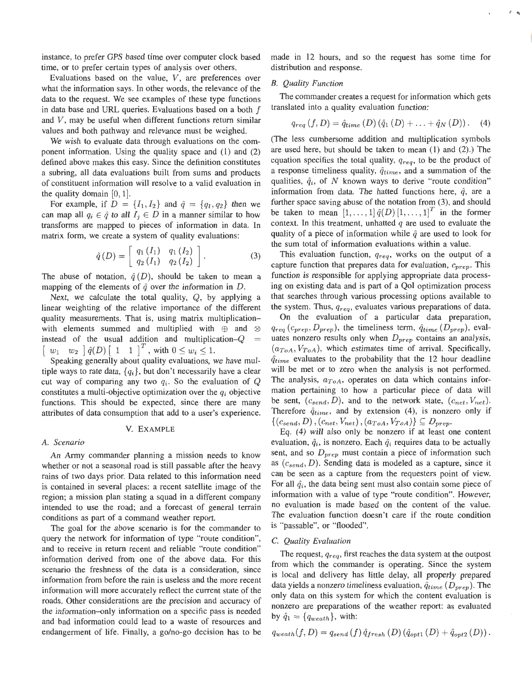instance, to prefer GPS based time over computer clock based time, or to prefer certain types of analysis over others.

Evaluations based on the value, *V,* are preferences over what the information says. In other words, the relevance of the data to the request. We see examples of these type functions in data base and URL queries. Evaluations based on a both  $f$ and *V,* may be useful when different functions return similar values and both pathway and relevance must be weighed.

We wish to evaluate data through evaluations on the component information. Using the quality space and (I) and (2) defined above makes this easy. Since the definition constitutes a subring, all data evaluations built from sums and products of constituent information will resolve to a valid evaluation in the quality domain  $[0, 1]$ .

For example, if  $D = \{I_1, I_2\}$  and  $\hat{q} = \{q_1, q_2\}$  then we can map all  $q_i \in \hat{q}$  to all  $I_i \in D$  in a manner similar to how transforms are mapped to pieces of information in data. In matrix form, we create a system of quality evaluations:

$$
\hat{q}(D) = \left[ \begin{array}{cc} q_1(I_1) & q_1(I_2) \\ q_2(I_1) & q_2(I_2) \end{array} \right]. \tag{3}
$$

The abuse of notation,  $\hat{q}(D)$ , should be taken to mean a mapping of the elements of  $\hat{q}$  over the information in D.

Next, we calculate the total quality, *Q,* by applying a linear weighting of the relative importance of the different quality measurements. That is, using matrix multiplicationwith elements summed and multiplied with  $\oplus$  and  $\otimes$ instead of the usual addition and multiplication-Q  $w_1 \quad w_2 \mid \hat{q}(D) \mid 1 \quad 1 \mid^T$ , with  $0 \leq w_i \leq 1$ .

Speaking generally about quality evaluations, we have multiple ways to rate data,  $\{q_i\}$ , but don't necessarily have a clear cut way of comparing any two *qi.* So the evaluation of Q constitutes a multi-objective optimization over the *qi* objective functions. This should be expected, since there are many attributes of data consumption that add to a user's experience.

# V. EXAMPLE

#### A. *Scenario*

An Army commander planning a mission needs to know whether or not a seasonal road is still passable after the heavy rains of two days prior. Data related to this information need is contained in several places: a recent satellite image of the region; a mission plan stating a squad in a different company intended to use the road; and a forecast of general terrain conditions as part of a command weather report.

The goal for the above scenario is for the commander to query the network for information of type "route condition", and to receive in return recent and reliable "route condition" information derived from one of the above data. For this scenario the freshness of the data is a consideration, since information from before the rain is useless and the more recent information will more accurately reflect the current state of the roads. Other considerations are the precision and accuracy of the information-only information on a specific pass is needed and bad information could lead to a waste of resources and endangerment of life. Finally, a go/no-go decision has to be made in 12 hours, and so the request has some time for distribution and response.

#### *B. Quality Function*

The commander creates a request for information which gets translated into a quality evaluation function:

$$
q_{req}(f, D) = \hat{q}_{time}(D) (\hat{q}_{1}(D) + ... + \hat{q}_{N}(D)). \quad (4)
$$

(The less cumbersome addition and multiplication symbols are used here, but should be taken to mean (l) and (2).) The equation specifies the total quality, *qreq.* to be the product of a response timeliness quality, *Qtime•* and a summation of the qualities,  $\hat{q}_i$ , of N known ways to derive "route condition" information from data. The hatted functions here,  $\hat{q}$ , are a further space saving abuse of the notation from (3), and should be taken to mean  $[1, \ldots, 1]$   $\hat{q}(D)$   $[1, \ldots, 1]^T$  in the former context. In this treatment, unhatted *q* are used to evaluate the quality of a piece of information while  $\hat{q}$  are used to look for the sum total of information evaluations within a value.

This evaluation function,  $q_{req}$ , works on the output of a capture function that prepares data for evaluation,  $c_{prep}$ . This function is responsible for applying appropriate data processing on existing data and is part of a QoI optimization process that searches through various processing options available to the system. Thus, *qreq•* evaluates various preparations of data.

On the evaluation of a particular data preparation,  $q_{req}$  ( $c_{prep}$ ,  $D_{prep}$ ), the timeliness term,  $\hat{q}_{time}$  ( $D_{prep}$ ), evaluates nonzero results only when *Dprep* contains an analysis,  $(a_{ToA}, V_{ToA})$ , which estimates time of arrival. Specifically,  $\hat{q}_{time}$  evaluates to the probability that the 12 hour deadline will be met or to zero when the analysis is not performed. The analysis,  $a_{ToA}$ , operates on data which contains information pertaining to how a particular piece of data will be sent,  $(c_{send}, D)$ , and to the network state,  $(c_{net}, V_{net})$ . Therefore  $\hat{q}_{time}$ , and by extension (4), is nonzero only if  $\{(c_{send}, D), (c_{net}, V_{net}), (a_{ToA}, V_{ToA})\} \subseteq D_{prep}.$ 

Eq. (4) will also only be nonzero if at least one content evaluation, *Qi,* is nonzero. Each *Qi* requires data to be actually sent, and so *Dprep* must contain a piece of information such as *(csend,* D). Sending data is modeled as a capture, since it can be seen as a capture from the requesters point of view. For all  $\hat{q}_i$ , the data being sent must also contain some piece of information with a value of type "route condition". However, no evaluation is made based on the content of the value. The evaluation function doesn't care if the route condition is "passable", or "flooded".

#### C. *Quality Evaluation*

The request, *qreq•* first reaches the data system at the outpost from which the commander is operating. Since the system is local and delivery has little delay, all properly prepared data yields a nonzero timeliness evaluation,  $\hat{q}_{time}$  ( $D_{prep}$ ). The only data on this system for which the content evaluation is nonzero are preparations of the weather report: as evaluated by  $\hat{q}_1 = \{q_{wealth}\}\$ , with:

$$
q_{weak}(f, D) = q_{send}(f) \hat{q}_{fresh}(D) (\hat{q}_{opt1}(D) + \hat{q}_{opt2}(D)).
$$